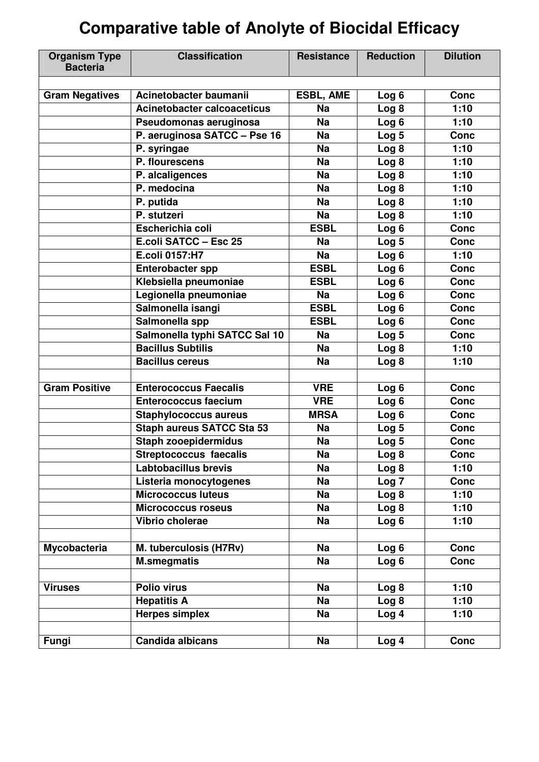# **Comparative table of Anolyte of Biocidal Efficacy**

| <b>Organism Type</b><br><b>Bacteria</b> | <b>Classification</b>            | <b>Resistance</b> | <b>Reduction</b> | <b>Dilution</b> |
|-----------------------------------------|----------------------------------|-------------------|------------------|-----------------|
|                                         |                                  |                   |                  |                 |
| <b>Gram Negatives</b>                   | Acinetobacter baumanii           | <b>ESBL, AME</b>  | Log <sub>6</sub> | <b>Conc</b>     |
|                                         | Acinetobacter calcoaceticus      | <b>Na</b>         | Log 8            | 1:10            |
|                                         | Pseudomonas aeruginosa           | <b>Na</b>         | Log <sub>6</sub> | 1:10            |
|                                         | P. aeruginosa SATCC - Pse 16     | <b>Na</b>         | Log <sub>5</sub> | <b>Conc</b>     |
|                                         | P. syringae                      | <b>Na</b>         | Log <sub>8</sub> | 1:10            |
|                                         | P. flourescens                   | <b>Na</b>         | Log <sub>8</sub> | 1:10            |
|                                         | P. alcaligences                  | <b>Na</b>         | Log <sub>8</sub> | 1:10            |
|                                         | P. medocina                      | <b>Na</b>         | Log <sub>8</sub> | 1:10            |
|                                         | P. putida                        | <b>Na</b>         | Log <sub>8</sub> | 1:10            |
|                                         | P. stutzeri                      | <b>Na</b>         | Log <sub>8</sub> | 1:10            |
|                                         | Escherichia coli                 | <b>ESBL</b>       | Log 6            | <b>Conc</b>     |
|                                         | E.coli SATCC - Esc 25            | Na                | Log <sub>5</sub> | <b>Conc</b>     |
|                                         | E.coli 0157:H7                   | <b>Na</b>         | Log 6            | 1:10            |
|                                         | <b>Enterobacter spp</b>          | <b>ESBL</b>       | Log <sub>6</sub> | <b>Conc</b>     |
|                                         | Klebsiella pneumoniae            | <b>ESBL</b>       | Log <sub>6</sub> | <b>Conc</b>     |
|                                         | Legionella pneumoniae            | <b>Na</b>         | Log 6            | <b>Conc</b>     |
|                                         | Salmonella isangi                | <b>ESBL</b>       | Log <sub>6</sub> | <b>Conc</b>     |
|                                         | Salmonella spp                   | <b>ESBL</b>       | Log 6            | <b>Conc</b>     |
|                                         | Salmonella typhi SATCC Sal 10    | <b>Na</b>         | Log <sub>5</sub> | <b>Conc</b>     |
|                                         | <b>Bacillus Subtilis</b>         | <b>Na</b>         | Log <sub>8</sub> | 1:10            |
|                                         | <b>Bacillus cereus</b>           | <b>Na</b>         | Log 8            | 1:10            |
|                                         |                                  |                   |                  |                 |
| <b>Gram Positive</b>                    | <b>Enterococcus Faecalis</b>     | <b>VRE</b>        | Log <sub>6</sub> | <b>Conc</b>     |
|                                         | <b>Enterococcus faecium</b>      | <b>VRE</b>        | Log <sub>6</sub> | <b>Conc</b>     |
|                                         | <b>Staphylococcus aureus</b>     | <b>MRSA</b>       | Log <sub>6</sub> | <b>Conc</b>     |
|                                         | <b>Staph aureus SATCC Sta 53</b> | <b>Na</b>         | Log <sub>5</sub> | <b>Conc</b>     |
|                                         | <b>Staph zooepidermidus</b>      | <b>Na</b>         | Log 5            | <b>Conc</b>     |
|                                         | <b>Streptococcus faecalis</b>    | $\overline{Na}$   | Log 8            | Conc            |
|                                         | <b>Labtobacillus brevis</b>      | <b>Na</b>         | Log <sub>8</sub> | 1:10            |
|                                         | Listeria monocytogenes           | <b>Na</b>         | Log <sub>7</sub> | <b>Conc</b>     |
|                                         | <b>Micrococcus luteus</b>        | <b>Na</b>         | Log <sub>8</sub> | 1:10            |
|                                         | <b>Micrococcus roseus</b>        | <b>Na</b>         | Log <sub>8</sub> | 1:10            |
|                                         | Vibrio cholerae                  | <b>Na</b>         | Log 6            | 1:10            |
|                                         |                                  |                   |                  |                 |
| Mycobacteria                            | M. tuberculosis (H7Rv)           | <b>Na</b>         | Log <sub>6</sub> | <b>Conc</b>     |
|                                         | <b>M.smegmatis</b>               | <b>Na</b>         | Log <sub>6</sub> | <b>Conc</b>     |
|                                         |                                  |                   |                  |                 |
| <b>Viruses</b>                          | <b>Polio virus</b>               | <b>Na</b>         | Log <sub>8</sub> | 1:10            |
|                                         | <b>Hepatitis A</b>               | <b>Na</b>         | Log 8            | 1:10            |
|                                         | <b>Herpes simplex</b>            | <b>Na</b>         | Log <sub>4</sub> | 1:10            |
|                                         |                                  |                   |                  |                 |
| Fungi                                   | Candida albicans                 | <b>Na</b>         | Log <sub>4</sub> | <b>Conc</b>     |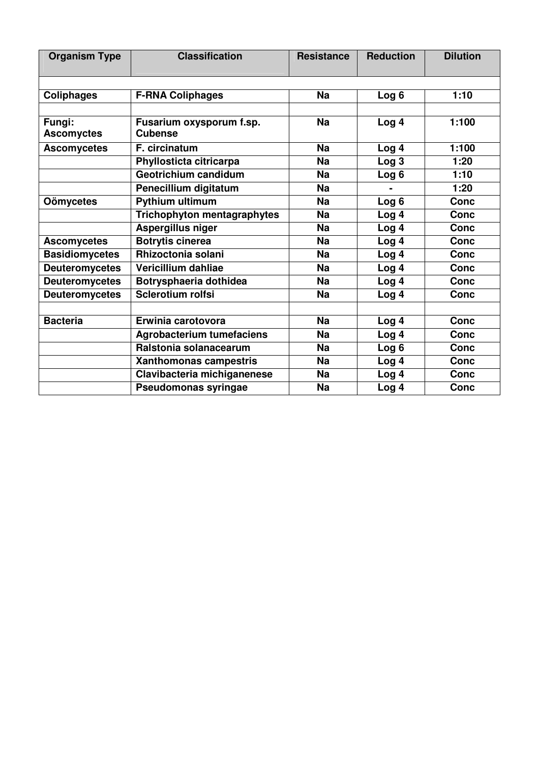| <b>Organism Type</b>  | <b>Classification</b>              | <b>Resistance</b> | <b>Reduction</b> | <b>Dilution</b> |
|-----------------------|------------------------------------|-------------------|------------------|-----------------|
|                       |                                    |                   |                  |                 |
| <b>Coliphages</b>     | <b>F-RNA Coliphages</b>            | <b>Na</b>         | Log 6            | 1:10            |
|                       |                                    |                   |                  |                 |
| Fungi:                | Fusarium oxysporum f.sp.           | <b>Na</b>         | Log <sub>4</sub> | 1:100           |
| <b>Ascomyctes</b>     | <b>Cubense</b>                     |                   |                  |                 |
| <b>Ascomycetes</b>    | F. circinatum                      | <b>Na</b>         | Log 4            | 1:100           |
|                       | Phyllosticta citricarpa            | <b>Na</b>         | Log <sub>3</sub> | 1:20            |
|                       | Geotrichium candidum               | <b>Na</b>         | Log 6            | 1:10            |
|                       | Penecillium digitatum              | <b>Na</b>         |                  | 1:20            |
| <b>Oömycetes</b>      | <b>Pythium ultimum</b>             | <b>Na</b>         | Log 6            | <b>Conc</b>     |
|                       | <b>Trichophyton mentagraphytes</b> | <b>Na</b>         | Log 4            | <b>Conc</b>     |
|                       | Aspergillus niger                  | <b>Na</b>         | Log 4            | <b>Conc</b>     |
| <b>Ascomycetes</b>    | <b>Botrytis cinerea</b>            | <b>Na</b>         | Log <sub>4</sub> | <b>Conc</b>     |
| <b>Basidiomycetes</b> | Rhizoctonia solani                 | <b>Na</b>         | Log <sub>4</sub> | <b>Conc</b>     |
| <b>Deuteromycetes</b> | Vericillium dahliae                | <b>Na</b>         | Log 4            | <b>Conc</b>     |
| <b>Deuteromycetes</b> | Botrysphaeria dothidea             | <b>Na</b>         | Log <sub>4</sub> | <b>Conc</b>     |
| <b>Deuteromycetes</b> | Sclerotium rolfsi                  | <b>Na</b>         | Log <sub>4</sub> | <b>Conc</b>     |
|                       |                                    |                   |                  |                 |
| <b>Bacteria</b>       | Erwinia carotovora                 | <b>Na</b>         | Log 4            | <b>Conc</b>     |
|                       | <b>Agrobacterium tumefaciens</b>   | <b>Na</b>         | Log <sub>4</sub> | <b>Conc</b>     |
|                       | Ralstonia solanacearum             | <b>Na</b>         | Log <sub>6</sub> | <b>Conc</b>     |
|                       | Xanthomonas campestris             | <b>Na</b>         | Log <sub>4</sub> | <b>Conc</b>     |
|                       | Clavibacteria michiganenese        | <b>Na</b>         | Log 4            | <b>Conc</b>     |
|                       | Pseudomonas syringae               | <b>Na</b>         | Log <sub>4</sub> | <b>Conc</b>     |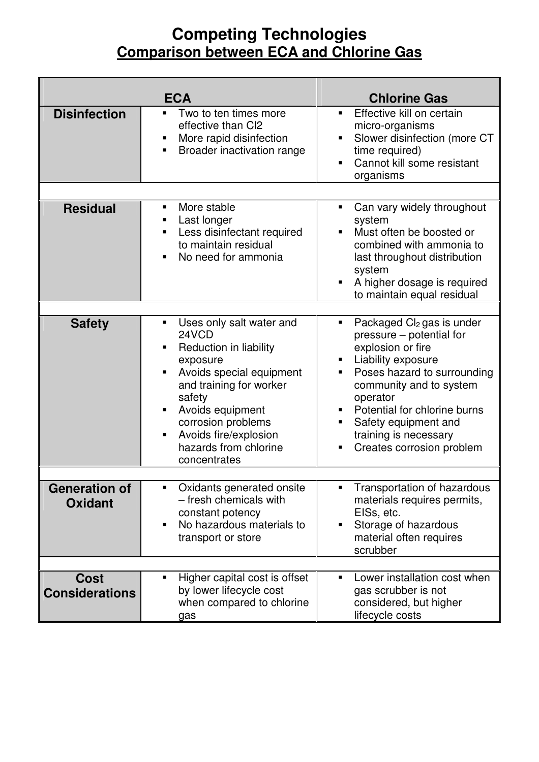#### **Competing Technologies Comparison between ECA and Chlorine Gas**

|                                        | <b>ECA</b>                                                                                                                                                                                                                                                               | <b>Chlorine Gas</b>                                                                                                                                                                                                                                                                                                       |
|----------------------------------------|--------------------------------------------------------------------------------------------------------------------------------------------------------------------------------------------------------------------------------------------------------------------------|---------------------------------------------------------------------------------------------------------------------------------------------------------------------------------------------------------------------------------------------------------------------------------------------------------------------------|
| <b>Disinfection</b>                    | Two to ten times more<br>٠<br>effective than CI2<br>More rapid disinfection<br>٠<br>Broader inactivation range                                                                                                                                                           | Effective kill on certain<br>$\blacksquare$<br>micro-organisms<br>Slower disinfection (more CT<br>٠<br>time required)<br>Cannot kill some resistant<br>organisms                                                                                                                                                          |
| <b>Residual</b>                        | More stable<br>٠<br>Last longer<br>٠<br>Less disinfectant required<br>٠<br>to maintain residual<br>No need for ammonia<br>٠                                                                                                                                              | Can vary widely throughout<br>٠<br>system<br>Must often be boosted or<br>combined with ammonia to<br>last throughout distribution<br>system<br>A higher dosage is required<br>П<br>to maintain equal residual                                                                                                             |
| <b>Safety</b>                          | Uses only salt water and<br>٠<br>24VCD<br>Reduction in liability<br>exposure<br>Avoids special equipment<br>٠<br>and training for worker<br>safety<br>Avoids equipment<br>п<br>corrosion problems<br>Avoids fire/explosion<br>٠<br>hazards from chlorine<br>concentrates | Packaged Cl <sub>2</sub> gas is under<br>٠<br>pressure – potential for<br>explosion or fire<br>Liability exposure<br>п<br>Poses hazard to surrounding<br>٠<br>community and to system<br>operator<br>Potential for chlorine burns<br>٠<br>Safety equipment and<br>٠<br>training is necessary<br>Creates corrosion problem |
| <b>Generation of</b><br><b>Oxidant</b> | Oxidants generated onsite<br>٠<br>- fresh chemicals with<br>constant potency<br>No hazardous materials to<br>$\blacksquare$<br>transport or store                                                                                                                        | Transportation of hazardous<br>п<br>materials requires permits,<br>EISs, etc.<br>Storage of hazardous<br>П<br>material often requires<br>scrubber                                                                                                                                                                         |
| <b>Cost</b><br><b>Considerations</b>   | Higher capital cost is offset<br>٠<br>by lower lifecycle cost<br>when compared to chlorine<br>gas                                                                                                                                                                        | Lower installation cost when<br>п<br>gas scrubber is not<br>considered, but higher<br>lifecycle costs                                                                                                                                                                                                                     |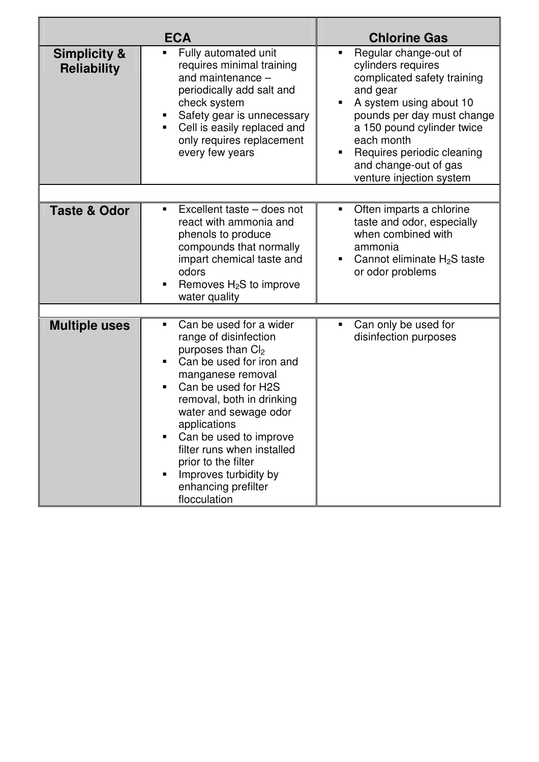|                                               | <b>ECA</b>                                                                                                                                                                                                                                                                                                                                                                                    | <b>Chlorine Gas</b>                                                                                                                                                                                                                                                            |
|-----------------------------------------------|-----------------------------------------------------------------------------------------------------------------------------------------------------------------------------------------------------------------------------------------------------------------------------------------------------------------------------------------------------------------------------------------------|--------------------------------------------------------------------------------------------------------------------------------------------------------------------------------------------------------------------------------------------------------------------------------|
| <b>Simplicity &amp;</b><br><b>Reliability</b> | Fully automated unit<br>Ξ<br>requires minimal training<br>and maintenance -<br>periodically add salt and<br>check system<br>Safety gear is unnecessary<br>Cell is easily replaced and<br>only requires replacement<br>every few years                                                                                                                                                         | Regular change-out of<br>cylinders requires<br>complicated safety training<br>and gear<br>A system using about 10<br>pounds per day must change<br>a 150 pound cylinder twice<br>each month<br>Requires periodic cleaning<br>and change-out of gas<br>venture injection system |
|                                               |                                                                                                                                                                                                                                                                                                                                                                                               |                                                                                                                                                                                                                                                                                |
| <b>Taste &amp; Odor</b>                       | Excellent taste – does not<br>react with ammonia and<br>phenols to produce<br>compounds that normally<br>impart chemical taste and<br>odors<br>Removes $H_2S$ to improve<br>water quality                                                                                                                                                                                                     | Often imparts a chlorine<br>taste and odor, especially<br>when combined with<br>ammonia<br>Cannot eliminate $H_2S$ taste<br>or odor problems                                                                                                                                   |
|                                               |                                                                                                                                                                                                                                                                                                                                                                                               |                                                                                                                                                                                                                                                                                |
| <b>Multiple uses</b>                          | Can be used for a wider<br>п<br>range of disinfection<br>purposes than Cl <sub>2</sub><br>Can be used for iron and<br>manganese removal<br>Can be used for H2S<br>٠<br>removal, both in drinking<br>water and sewage odor<br>applications<br>Can be used to improve<br>filter runs when installed<br>prior to the filter<br>Improves turbidity by<br>٠<br>enhancing prefilter<br>flocculation | Can only be used for<br>disinfection purposes                                                                                                                                                                                                                                  |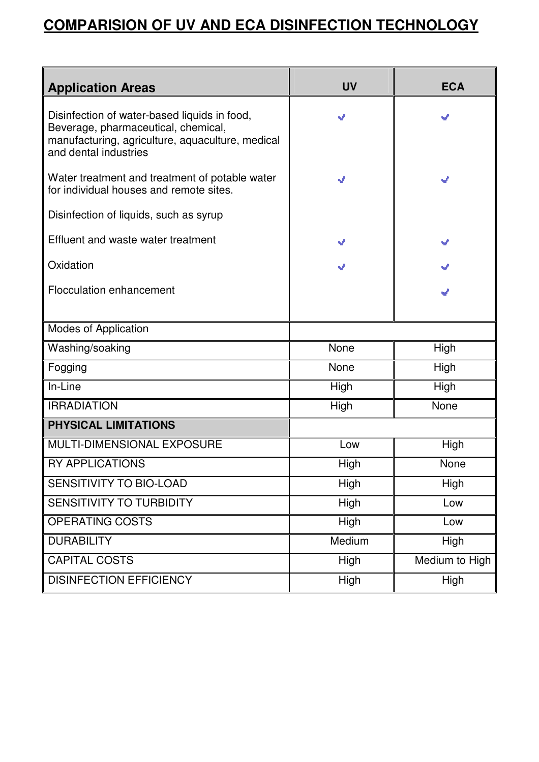### **COMPARISION OF UV AND ECA DISINFECTION TECHNOLOGY**

| <b>Application Areas</b>                                                                                                                                         | <b>UV</b> | <b>ECA</b>     |  |  |
|------------------------------------------------------------------------------------------------------------------------------------------------------------------|-----------|----------------|--|--|
| Disinfection of water-based liquids in food,<br>Beverage, pharmaceutical, chemical,<br>manufacturing, agriculture, aquaculture, medical<br>and dental industries | J         | v              |  |  |
| Water treatment and treatment of potable water<br>for individual houses and remote sites.                                                                        | J<br>√    |                |  |  |
| Disinfection of liquids, such as syrup                                                                                                                           |           |                |  |  |
| Effluent and waste water treatment                                                                                                                               | J         | v              |  |  |
| Oxidation                                                                                                                                                        |           |                |  |  |
| <b>Flocculation enhancement</b>                                                                                                                                  |           |                |  |  |
| <b>Modes of Application</b>                                                                                                                                      |           |                |  |  |
| Washing/soaking                                                                                                                                                  | None      | High           |  |  |
| Fogging                                                                                                                                                          | None      | High           |  |  |
| In-Line                                                                                                                                                          | High      | High           |  |  |
| <b>IRRADIATION</b>                                                                                                                                               | High      | None           |  |  |
| PHYSICAL LIMITATIONS                                                                                                                                             |           |                |  |  |
| MULTI-DIMENSIONAL EXPOSURE                                                                                                                                       | Low       | High           |  |  |
| <b>RY APPLICATIONS</b>                                                                                                                                           | High      | None           |  |  |
| SENSITIVITY TO BIO-LOAD                                                                                                                                          | High      | High           |  |  |
| SENSITIVITY TO TURBIDITY                                                                                                                                         | High      | Low            |  |  |
| OPERATING COSTS                                                                                                                                                  | High      | Low            |  |  |
| <b>DURABILITY</b>                                                                                                                                                | Medium    | <b>High</b>    |  |  |
| <b>CAPITAL COSTS</b>                                                                                                                                             | High      | Medium to High |  |  |
| <b>DISINFECTION EFFICIENCY</b>                                                                                                                                   | High      | High           |  |  |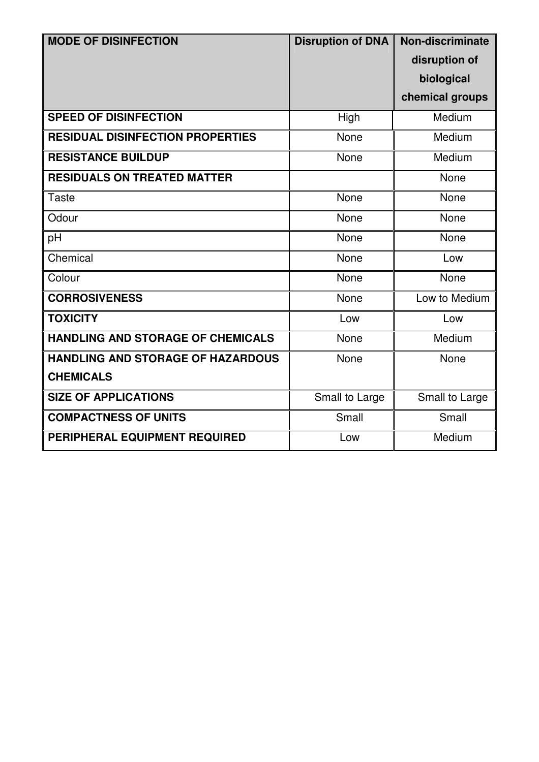| <b>MODE OF DISINFECTION</b>              | <b>Disruption of DNA</b> | Non-discriminate |
|------------------------------------------|--------------------------|------------------|
|                                          |                          | disruption of    |
|                                          |                          | biological       |
|                                          |                          | chemical groups  |
| <b>SPEED OF DISINFECTION</b>             | High                     | Medium           |
| <b>RESIDUAL DISINFECTION PROPERTIES</b>  | None                     | Medium           |
| <b>RESISTANCE BUILDUP</b>                | None                     | Medium           |
| <b>RESIDUALS ON TREATED MATTER</b>       |                          | None             |
| <b>Taste</b>                             | None                     | None             |
| Odour                                    | None                     | None             |
| pH                                       | None                     | None             |
| Chemical                                 | None                     | Low              |
| Colour                                   | None                     | None             |
| <b>CORROSIVENESS</b>                     | None                     | Low to Medium    |
| <b>TOXICITY</b>                          | Low                      | Low              |
| <b>HANDLING AND STORAGE OF CHEMICALS</b> | None                     | Medium           |
| <b>HANDLING AND STORAGE OF HAZARDOUS</b> | None                     | None             |
| <b>CHEMICALS</b>                         |                          |                  |
| <b>SIZE OF APPLICATIONS</b>              | Small to Large           | Small to Large   |
| <b>COMPACTNESS OF UNITS</b>              | Small                    | Small            |
| PERIPHERAL EQUIPMENT REQUIRED            | Low                      | Medium           |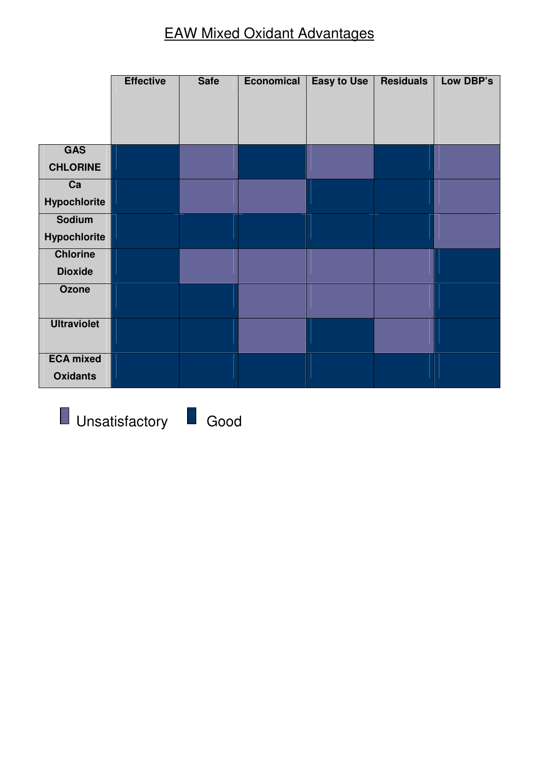### EAW Mixed Oxidant Advantages

|                    | <b>Effective</b> | <b>Safe</b> | <b>Economical</b> | <b>Easy to Use</b> | <b>Residuals</b> | Low DBP's |
|--------------------|------------------|-------------|-------------------|--------------------|------------------|-----------|
|                    |                  |             |                   |                    |                  |           |
|                    |                  |             |                   |                    |                  |           |
|                    |                  |             |                   |                    |                  |           |
| <b>GAS</b>         |                  |             |                   |                    |                  |           |
| <b>CHLORINE</b>    |                  |             |                   |                    |                  |           |
| Ca                 |                  |             |                   |                    |                  |           |
| Hypochlorite       |                  |             |                   |                    |                  |           |
| <b>Sodium</b>      |                  |             |                   |                    |                  |           |
| Hypochlorite       |                  |             |                   |                    |                  |           |
| <b>Chlorine</b>    |                  |             |                   |                    |                  |           |
| <b>Dioxide</b>     |                  |             |                   |                    |                  |           |
| <b>Ozone</b>       |                  |             |                   |                    |                  |           |
|                    |                  |             |                   |                    |                  |           |
| <b>Ultraviolet</b> |                  |             |                   |                    |                  |           |
|                    |                  |             |                   |                    |                  |           |
| <b>ECA mixed</b>   |                  |             |                   |                    |                  |           |
| <b>Oxidants</b>    |                  |             |                   |                    |                  |           |

**Unsatisfactory Good**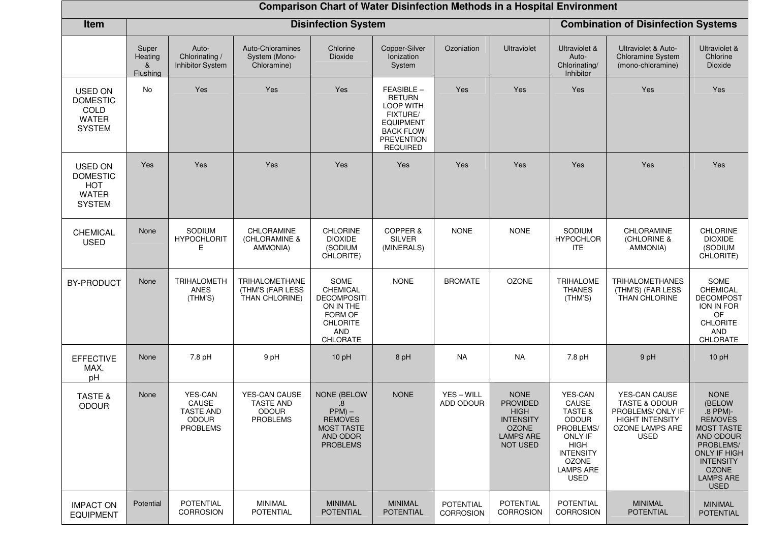|                                                                                  | <b>Comparison Chart of Water Disinfection Methods in a Hospital Environment</b> |                                                                                |                                                                      |                                                                                                                            |                                                                                                                                                   |                                      |                                                                                                                          |                                                                                                                                                                  |                                                                                                                                   |                                                                                                                                                                                                  |  |
|----------------------------------------------------------------------------------|---------------------------------------------------------------------------------|--------------------------------------------------------------------------------|----------------------------------------------------------------------|----------------------------------------------------------------------------------------------------------------------------|---------------------------------------------------------------------------------------------------------------------------------------------------|--------------------------------------|--------------------------------------------------------------------------------------------------------------------------|------------------------------------------------------------------------------------------------------------------------------------------------------------------|-----------------------------------------------------------------------------------------------------------------------------------|--------------------------------------------------------------------------------------------------------------------------------------------------------------------------------------------------|--|
| Item                                                                             |                                                                                 |                                                                                |                                                                      | <b>Disinfection System</b>                                                                                                 |                                                                                                                                                   |                                      |                                                                                                                          |                                                                                                                                                                  | <b>Combination of Disinfection Systems</b>                                                                                        |                                                                                                                                                                                                  |  |
|                                                                                  | Super<br>Heating<br>&<br>Flushing                                               | Auto-<br>Chlorinating /<br>Inhibitor System                                    | Auto-Chloramines<br>System (Mono-<br>Chloramine)                     | Chlorine<br>Dioxide                                                                                                        | Copper-Silver<br>Ionization<br>System                                                                                                             | Ozoniation                           | <b>Ultraviolet</b>                                                                                                       | Ultraviolet &<br>Auto-<br>Chlorinating/<br>Inhibitor                                                                                                             | Ultraviolet & Auto-<br>Chloramine System<br>(mono-chloramine)                                                                     | Ultraviolet &<br>Chlorine<br>Dioxide                                                                                                                                                             |  |
| <b>USED ON</b><br><b>DOMESTIC</b><br>COLD<br><b>WATER</b><br><b>SYSTEM</b>       | No                                                                              | Yes                                                                            | Yes                                                                  | Yes                                                                                                                        | FEASIBLE-<br><b>RETURN</b><br><b>LOOP WITH</b><br><b>FIXTURE/</b><br><b>EQUIPMENT</b><br><b>BACK FLOW</b><br><b>PREVENTION</b><br><b>REQUIRED</b> | Yes                                  | Yes                                                                                                                      | Yes                                                                                                                                                              | Yes                                                                                                                               | Yes                                                                                                                                                                                              |  |
| <b>USED ON</b><br><b>DOMESTIC</b><br><b>HOT</b><br><b>WATER</b><br><b>SYSTEM</b> | Yes                                                                             | Yes                                                                            | Yes                                                                  | Yes                                                                                                                        | Yes                                                                                                                                               | Yes                                  | Yes                                                                                                                      | Yes                                                                                                                                                              | Yes                                                                                                                               | Yes                                                                                                                                                                                              |  |
| <b>CHEMICAL</b><br><b>USED</b>                                                   | None                                                                            | SODIUM<br><b>HYPOCHLORIT</b><br>Е                                              | CHLORAMINE<br>(CHLORAMINE &<br><b>AMMONIA)</b>                       | <b>CHLORINE</b><br><b>DIOXIDE</b><br>(SODIUM<br>CHLORITE)                                                                  | COPPER &<br><b>SILVER</b><br>(MINERALS)                                                                                                           | <b>NONE</b>                          | <b>NONE</b>                                                                                                              | SODIUM<br><b>HYPOCHLOR</b><br>ITE.                                                                                                                               | CHLORAMINE<br>(CHLORINE &<br>AMMONIA)                                                                                             | <b>CHLORINE</b><br><b>DIOXIDE</b><br>(SODIUM<br>CHLORITE)                                                                                                                                        |  |
| <b>BY-PRODUCT</b>                                                                | None                                                                            | TRIHALOMETH<br>ANES<br>(THM'S)                                                 | TRIHALOMETHANE<br>(THM'S (FAR LESS<br>THAN CHLORINE)                 | SOME<br>CHEMICAL<br><b>DECOMPOSITI</b><br>ON IN THE<br>FORM OF<br><b>CHLORITE</b><br>AND<br>CHLORATE                       | <b>NONE</b>                                                                                                                                       | <b>BROMATE</b>                       | <b>OZONE</b>                                                                                                             | <b>TRIHALOME</b><br><b>THANES</b><br>(THM'S)                                                                                                                     | TRIHALOMETHANES<br>(THM'S) (FAR LESS<br>THAN CHLORINE                                                                             | SOME<br>CHEMICAL<br><b>DECOMPOST</b><br>ION IN FOR<br>OF<br><b>CHLORITE</b><br><b>AND</b><br>CHLORATE                                                                                            |  |
| <b>EFFECTIVE</b><br>MAX.<br>pH                                                   | None                                                                            | 7.8 pH                                                                         | 9 pH                                                                 | 10pH                                                                                                                       | 8 pH                                                                                                                                              | <b>NA</b>                            | NA                                                                                                                       | 7.8 pH                                                                                                                                                           | 9 pH                                                                                                                              | 10pH                                                                                                                                                                                             |  |
| <b>TASTE &amp;</b><br><b>ODOUR</b>                                               | None                                                                            | <b>YES-CAN</b><br>CAUSE<br><b>TASTE AND</b><br><b>ODOUR</b><br><b>PROBLEMS</b> | YES-CAN CAUSE<br><b>TASTE AND</b><br><b>ODOUR</b><br><b>PROBLEMS</b> | <b>NONE (BELOW</b><br>$\boldsymbol{.8}$<br>$PPM$ ) –<br><b>REMOVES</b><br><b>MOST TASTE</b><br>AND ODOR<br><b>PROBLEMS</b> | <b>NONE</b>                                                                                                                                       | YES-WILL<br>ADD ODOUR                | <b>NONE</b><br><b>PROVIDED</b><br><b>HIGH</b><br><b>INTENSITY</b><br><b>OZONE</b><br><b>LAMPS ARE</b><br><b>NOT USED</b> | <b>YES-CAN</b><br>CAUSE<br>TASTE &<br><b>ODOUR</b><br>PROBLEMS/<br>ONLY IF<br><b>HIGH</b><br><b>INTENSITY</b><br><b>OZONE</b><br><b>LAMPS ARE</b><br><b>USED</b> | YES-CAN CAUSE<br><b>TASTE &amp; ODOUR</b><br>PROBLEMS/ ONLY IF<br><b>HIGHT INTENSITY</b><br><b>OZONE LAMPS ARE</b><br><b>USED</b> | <b>NONE</b><br>(BELOW<br>.8 PPM)-<br><b>REMOVES</b><br><b>MOST TASTE</b><br>AND ODOUR<br>PROBLEMS/<br><b>ONLY IF HIGH</b><br><b>INTENSITY</b><br><b>OZONE</b><br><b>LAMPS ARE</b><br><b>USED</b> |  |
| <b>IMPACT ON</b><br><b>EQUIPMENT</b>                                             | Potential                                                                       | POTENTIAL<br><b>CORROSION</b>                                                  | MINIMAL<br>POTENTIAL                                                 | <b>MINIMAL</b><br><b>POTENTIAL</b>                                                                                         | <b>MINIMAL</b><br><b>POTENTIAL</b>                                                                                                                | <b>POTENTIAL</b><br><b>CORROSION</b> | <b>POTENTIAL</b><br>CORROSION                                                                                            | <b>POTENTIAL</b><br><b>CORROSION</b>                                                                                                                             | <b>MINIMAL</b><br><b>POTENTIAL</b>                                                                                                | <b>MINIMAL</b><br><b>POTENTIAL</b>                                                                                                                                                               |  |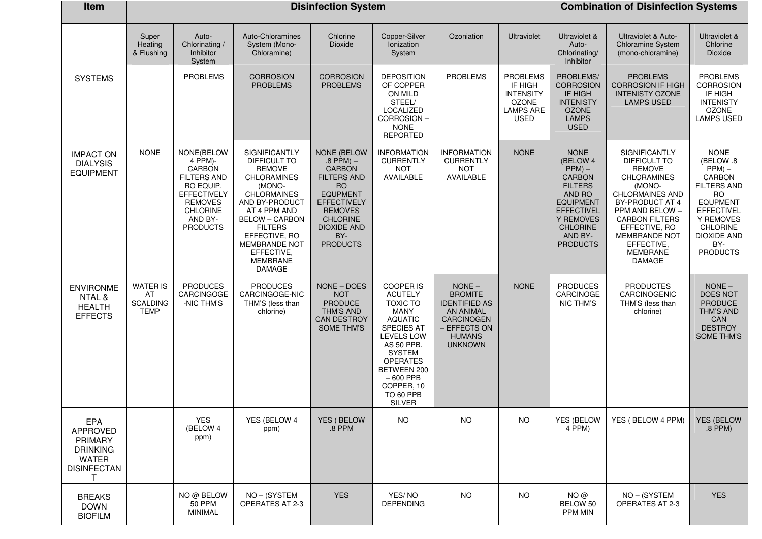| Item                                                                                            |                                                         |                                                                                                                                                      | <b>Disinfection System</b>                                                                                                                                                                                                                                            |                                                                                                                                                                                                                |                                                                                                                                                                                                                                                      | <b>Combination of Disinfection Systems</b>                                                                                       |                                                                                                   |                                                                                                                                                                                          |                                                                                                                                                                                                                                                             |                                                                                                                                                                                                            |
|-------------------------------------------------------------------------------------------------|---------------------------------------------------------|------------------------------------------------------------------------------------------------------------------------------------------------------|-----------------------------------------------------------------------------------------------------------------------------------------------------------------------------------------------------------------------------------------------------------------------|----------------------------------------------------------------------------------------------------------------------------------------------------------------------------------------------------------------|------------------------------------------------------------------------------------------------------------------------------------------------------------------------------------------------------------------------------------------------------|----------------------------------------------------------------------------------------------------------------------------------|---------------------------------------------------------------------------------------------------|------------------------------------------------------------------------------------------------------------------------------------------------------------------------------------------|-------------------------------------------------------------------------------------------------------------------------------------------------------------------------------------------------------------------------------------------------------------|------------------------------------------------------------------------------------------------------------------------------------------------------------------------------------------------------------|
|                                                                                                 | Super<br>Heating<br>& Flushing                          | Auto-<br>Chlorinating /<br>Inhibitor<br>System                                                                                                       | Auto-Chloramines<br>System (Mono-<br>Chloramine)                                                                                                                                                                                                                      | Chlorine<br>Dioxide                                                                                                                                                                                            | Copper-Silver<br>Ionization<br>System                                                                                                                                                                                                                | Ozoniation                                                                                                                       | <b>Ultraviolet</b>                                                                                | Ultraviolet &<br>Auto-<br>Chlorinating/<br>Inhibitor                                                                                                                                     | Ultraviolet & Auto-<br>Chloramine System<br>(mono-chloramine)                                                                                                                                                                                               | Ultraviolet &<br>Chlorine<br>Dioxide                                                                                                                                                                       |
| <b>SYSTEMS</b>                                                                                  |                                                         | <b>PROBLEMS</b>                                                                                                                                      | <b>CORROSION</b><br><b>PROBLEMS</b>                                                                                                                                                                                                                                   | <b>CORROSION</b><br><b>PROBLEMS</b>                                                                                                                                                                            | <b>DEPOSITION</b><br>OF COPPER<br>ON MILD<br>STEEL/<br>LOCALIZED<br>CORROSION-<br><b>NONE</b><br><b>REPORTED</b>                                                                                                                                     | <b>PROBLEMS</b>                                                                                                                  | <b>PROBLEMS</b><br>IF HIGH<br><b>INTENSITY</b><br><b>OZONE</b><br><b>LAMPS ARE</b><br><b>USED</b> | PROBLEMS/<br><b>CORROSION</b><br>IF HIGH<br><b>INTENISTY</b><br><b>OZONE</b><br><b>LAMPS</b><br><b>USED</b>                                                                              | <b>PROBLEMS</b><br><b>CORROSION IF HIGH</b><br><b>INTENISTY OZONE</b><br><b>LAMPS USED</b>                                                                                                                                                                  | <b>PROBLEMS</b><br><b>CORROSION</b><br>IF HIGH<br><b>INTENISTY</b><br><b>OZONE</b><br><b>LAMPS USED</b>                                                                                                    |
| <b>IMPACT ON</b><br><b>DIALYSIS</b><br><b>EQUIPMENT</b>                                         | <b>NONE</b>                                             | NONE(BELOW<br>4 PPM)-<br>CARBON<br><b>FILTERS AND</b><br>RO EQUIP.<br><b>EFFECTIVELY</b><br><b>REMOVES</b><br>CHLORINE<br>AND BY-<br><b>PRODUCTS</b> | SIGNIFICANTLY<br>DIFFICULT TO<br><b>REMOVE</b><br><b>CHLORAMINES</b><br>(MONO-<br><b>CHLORMAINES</b><br>AND BY-PRODUCT<br>AT 4 PPM AND<br><b>BELOW - CARBON</b><br><b>FILTERS</b><br>EFFECTIVE, RO<br>MEMBRANDE NOT<br>EFFECTIVE,<br><b>MEMBRANE</b><br><b>DAMAGE</b> | <b>NONE (BELOW</b><br>$.8$ PPM) $-$<br><b>CARBON</b><br><b>FILTERS AND</b><br><b>RO</b><br><b>EQUPMENT</b><br>EFFECTIVELY<br><b>REMOVES</b><br><b>CHLORINE</b><br><b>DIOXIDE AND</b><br>BY-<br><b>PRODUCTS</b> | <b>INFORMATION</b><br><b>CURRENTLY</b><br><b>NOT</b><br>AVAILABLE                                                                                                                                                                                    | <b>INFORMATION</b><br><b>CURRENTLY</b><br><b>NOT</b><br>AVAILABLE                                                                | <b>NONE</b>                                                                                       | <b>NONE</b><br>(BELOW 4<br>$PPM$ ) –<br><b>CARBON</b><br><b>FILTERS</b><br>AND RO<br><b>EQUIPMENT</b><br><b>EFFECTIVEL</b><br>Y REMOVES<br><b>CHLORINE</b><br>AND BY-<br><b>PRODUCTS</b> | SIGNIFICANTLY<br>DIFFICULT TO<br><b>REMOVE</b><br><b>CHLORAMINES</b><br>(MONO-<br><b>CHLORMAINES AND</b><br>BY-PRODUCT AT 4<br>PPM AND BELOW -<br><b>CARBON FILTERS</b><br>EFFECTIVE, RO<br>MEMBRANDE NOT<br>EFFECTIVE,<br><b>MEMBRANE</b><br><b>DAMAGE</b> | <b>NONE</b><br>(BELOW .8<br>$PPM$ ) –<br><b>CARBON</b><br><b>FILTERS AND</b><br><b>RO</b><br><b>EQUPMENT</b><br><b>EFFECTIVEL</b><br>Y REMOVES<br>CHLORINE<br><b>DIOXIDE AND</b><br>BY-<br><b>PRODUCTS</b> |
| <b>ENVIRONME</b><br>NTAL &<br><b>HEALTH</b><br><b>EFFECTS</b>                                   | <b>WATER IS</b><br>AT<br><b>SCALDING</b><br><b>TEMP</b> | <b>PRODUCES</b><br>CARCINGOGE<br>-NIC THM'S                                                                                                          | <b>PRODUCES</b><br>CARCINGOGE-NIC<br>THM'S (less than<br>chlorine)                                                                                                                                                                                                    | NONE - DOES<br><b>NOT</b><br><b>PRODUCE</b><br>THM'S AND<br><b>CAN DESTROY</b><br><b>SOME THM'S</b>                                                                                                            | <b>COOPER IS</b><br><b>ACUTELY</b><br><b>TOXIC TO</b><br><b>MANY</b><br><b>AQUATIC</b><br><b>SPECIES AT</b><br>LEVELS LOW<br>AS 50 PPB.<br><b>SYSTEM</b><br><b>OPERATES</b><br>BETWEEN 200<br>$-600$ PPB<br>COPPER, 10<br>TO 60 PPB<br><b>SILVER</b> | $NONE -$<br><b>BROMITE</b><br><b>IDENTIFIED AS</b><br>AN ANIMAL<br>CARCINOGEN<br>- EFFECTS ON<br><b>HUMANS</b><br><b>UNKNOWN</b> | <b>NONE</b>                                                                                       | <b>PRODUCES</b><br>CARCINOGE<br>NIC THM'S                                                                                                                                                | <b>PRODUCTES</b><br>CARCINOGENIC<br>THM'S (less than<br>chlorine)                                                                                                                                                                                           | $NONE -$<br>DOES NOT<br><b>PRODUCE</b><br><b>THM'S AND</b><br>CAN<br><b>DESTROY</b><br><b>SOME THM'S</b>                                                                                                   |
| EPA<br><b>APPROVED</b><br><b>PRIMARY</b><br><b>DRINKING</b><br>WATER<br><b>DISINFECTAN</b><br>Т |                                                         | <b>YES</b><br>(BELOW 4<br>ppm)                                                                                                                       | YES (BELOW 4<br>ppm)                                                                                                                                                                                                                                                  | YES (BELOW<br>.8 PPM                                                                                                                                                                                           | <b>NO</b>                                                                                                                                                                                                                                            | <b>NO</b>                                                                                                                        | <b>NO</b>                                                                                         | <b>YES (BELOW</b><br>$4$ PPM $)$                                                                                                                                                         | YES (BELOW 4 PPM)                                                                                                                                                                                                                                           | <b>YES (BELOW</b><br>.8 PPM)                                                                                                                                                                               |
| <b>BREAKS</b><br><b>DOWN</b><br><b>BIOFILM</b>                                                  |                                                         | NO@BELOW<br><b>50 PPM</b><br><b>MINIMAL</b>                                                                                                          | NO-(SYSTEM<br><b>OPERATES AT 2-3</b>                                                                                                                                                                                                                                  | <b>YES</b>                                                                                                                                                                                                     | YES/NO<br><b>DEPENDING</b>                                                                                                                                                                                                                           | <b>NO</b>                                                                                                                        | <b>NO</b>                                                                                         | NO@<br>BELOW 50<br><b>PPM MIN</b>                                                                                                                                                        | NO-(SYSTEM<br><b>OPERATES AT 2-3</b>                                                                                                                                                                                                                        | <b>YES</b>                                                                                                                                                                                                 |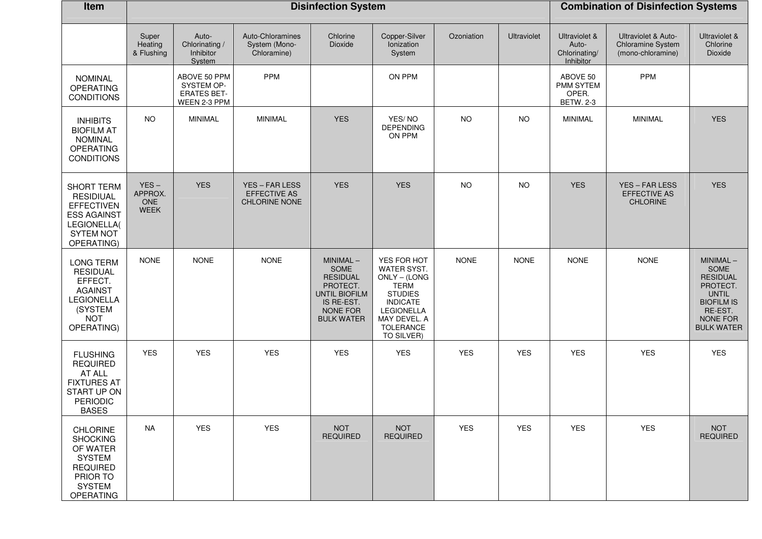| Item                                                                                                                                |                                          |                                                                  | <b>Disinfection System</b>                             |                                                                                                                        | <b>Combination of Disinfection Systems</b>                                                                                                                            |             |             |                                                      |                                                               |                                                                                                                                            |
|-------------------------------------------------------------------------------------------------------------------------------------|------------------------------------------|------------------------------------------------------------------|--------------------------------------------------------|------------------------------------------------------------------------------------------------------------------------|-----------------------------------------------------------------------------------------------------------------------------------------------------------------------|-------------|-------------|------------------------------------------------------|---------------------------------------------------------------|--------------------------------------------------------------------------------------------------------------------------------------------|
|                                                                                                                                     | Super<br>Heating<br>& Flushing           | Auto-<br>Chlorinating /<br>Inhibitor<br>System                   | Auto-Chloramines<br>System (Mono-<br>Chloramine)       | Chlorine<br>Dioxide                                                                                                    | Copper-Silver<br>Ionization<br>System                                                                                                                                 | Ozoniation  | Ultraviolet | Ultraviolet &<br>Auto-<br>Chlorinating/<br>Inhibitor | Ultraviolet & Auto-<br>Chloramine System<br>(mono-chloramine) | Ultraviolet &<br>Chlorine<br>Dioxide                                                                                                       |
| <b>NOMINAL</b><br><b>OPERATING</b><br><b>CONDITIONS</b>                                                                             |                                          | ABOVE 50 PPM<br>SYSTEM OP-<br><b>ERATES BET-</b><br>WEEN 2-3 PPM | <b>PPM</b>                                             |                                                                                                                        | ON PPM                                                                                                                                                                |             |             | ABOVE 50<br>PMM SYTEM<br>OPER.<br><b>BETW. 2-3</b>   | <b>PPM</b>                                                    |                                                                                                                                            |
| <b>INHIBITS</b><br><b>BIOFILM AT</b><br><b>NOMINAL</b><br><b>OPERATING</b><br><b>CONDITIONS</b>                                     | <b>NO</b>                                | MINIMAL                                                          | <b>MINIMAL</b>                                         | <b>YES</b>                                                                                                             | YES/NO<br><b>DEPENDING</b><br>ON PPM                                                                                                                                  | <b>NO</b>   | <b>NO</b>   | <b>MINIMAL</b>                                       | <b>MINIMAL</b>                                                | <b>YES</b>                                                                                                                                 |
| <b>SHORT TERM</b><br><b>RESIDIUAL</b><br><b>EFFECTIVEN</b><br><b>ESS AGAINST</b><br>LEGIONELLA(<br><b>SYTEM NOT</b><br>OPERATING)   | $YES -$<br>APPROX.<br>ONE<br><b>WEEK</b> | <b>YES</b>                                                       | YES - FAR LESS<br><b>EFFECTIVE AS</b><br>CHLORINE NONE | <b>YES</b>                                                                                                             | <b>YES</b>                                                                                                                                                            | <b>NO</b>   | <b>NO</b>   | <b>YES</b>                                           | YES - FAR LESS<br><b>EFFECTIVE AS</b><br><b>CHLORINE</b>      | <b>YES</b>                                                                                                                                 |
| <b>LONG TERM</b><br><b>RESIDUAL</b><br>EFFECT.<br><b>AGAINST</b><br><b>LEGIONELLA</b><br>(SYSTEM<br><b>NOT</b><br>OPERATING)        | <b>NONE</b>                              | <b>NONE</b>                                                      | <b>NONE</b>                                            | MINIMAL-<br>SOME<br><b>RESIDUAL</b><br>PROTECT.<br><b>UNTIL BIOFILM</b><br>IS RE-EST.<br>NONE FOR<br><b>BULK WATER</b> | YES FOR HOT<br>WATER SYST.<br>ONLY - (LONG<br><b>TERM</b><br><b>STUDIES</b><br><b>INDICATE</b><br><b>LEGIONELLA</b><br>MAY DEVEL. A<br><b>TOLERANCE</b><br>TO SILVER) | <b>NONE</b> | <b>NONE</b> | <b>NONE</b>                                          | <b>NONE</b>                                                   | $MINIMAL -$<br>SOME<br><b>RESIDUAL</b><br>PROTECT.<br><b>UNTIL</b><br><b>BIOFILM IS</b><br>RE-EST.<br><b>NONE FOR</b><br><b>BULK WATER</b> |
| <b>FLUSHING</b><br><b>REQUIRED</b><br>AT ALL<br><b>FIXTURES AT</b><br>START UP ON<br><b>PERIODIC</b><br><b>BASES</b>                | <b>YES</b>                               | <b>YES</b>                                                       | <b>YES</b>                                             | <b>YES</b>                                                                                                             | <b>YES</b>                                                                                                                                                            | <b>YES</b>  | <b>YES</b>  | <b>YES</b>                                           | <b>YES</b>                                                    | <b>YES</b>                                                                                                                                 |
| <b>CHLORINE</b><br><b>SHOCKING</b><br>OF WATER<br><b>SYSTEM</b><br><b>REQUIRED</b><br>PRIOR TO<br><b>SYSTEM</b><br><b>OPERATING</b> | <b>NA</b>                                | <b>YES</b>                                                       | <b>YES</b>                                             | <b>NOT</b><br><b>REQUIRED</b>                                                                                          | <b>NOT</b><br><b>REQUIRED</b>                                                                                                                                         | <b>YES</b>  | <b>YES</b>  | <b>YES</b>                                           | <b>YES</b>                                                    | <b>NOT</b><br><b>REQUIRED</b>                                                                                                              |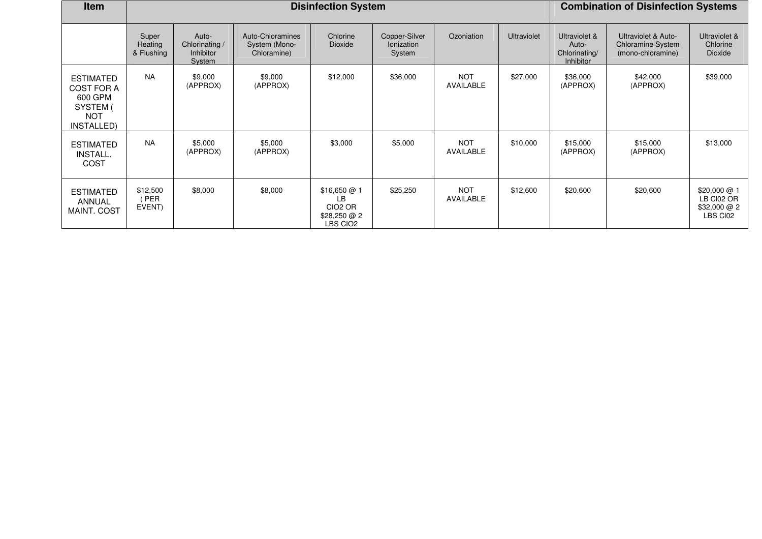| <b>Item</b>                                                                       |                                |                                                              | <b>Disinfection System</b>                       |                                                                     | <b>Combination of Disinfection Systems</b>   |                                |                    |                                                             |                                                                      |                                                        |
|-----------------------------------------------------------------------------------|--------------------------------|--------------------------------------------------------------|--------------------------------------------------|---------------------------------------------------------------------|----------------------------------------------|--------------------------------|--------------------|-------------------------------------------------------------|----------------------------------------------------------------------|--------------------------------------------------------|
|                                                                                   | Super<br>Heating<br>& Flushing | Auto-<br>Chlorinating /<br><b>Inhibitor</b><br><b>System</b> | Auto-Chloramines<br>System (Mono-<br>Chloramine) | Chlorine<br>Dioxide                                                 | Copper-Silver<br><b>lonization</b><br>System | Ozoniation                     | <b>Ultraviolet</b> | Ultraviolet &<br>Auto-<br>Chlorinating/<br><b>Inhibitor</b> | Ultraviolet & Auto-<br><b>Chloramine System</b><br>(mono-chloramine) | Ultraviolet &<br>Chlorine<br><b>Dioxide</b>            |
| <b>ESTIMATED</b><br>COST FOR A<br>600 GPM<br>SYSTEM (<br><b>NOT</b><br>INSTALLED) | <b>NA</b>                      | \$9,000<br>(APPROX)                                          | \$9,000<br>(APPROX)                              | \$12,000                                                            | \$36,000                                     | <b>NOT</b><br>AVAILABLE        | \$27,000           | \$36,000<br>(APPROX)                                        | \$42,000<br>(APPROX)                                                 | \$39,000                                               |
| <b>ESTIMATED</b><br><b>INSTALL.</b><br>COST                                       | <b>NA</b>                      | \$5,000<br>(APPROX)                                          | \$5,000<br>(APPROX)                              | \$3,000                                                             | \$5,000                                      | <b>NOT</b><br>AVAILABLE        | \$10,000           | \$15,000<br>(APPROX)                                        | \$15,000<br>(APPROX)                                                 | \$13,000                                               |
| <b>ESTIMATED</b><br>ANNUAL<br>MAINT. COST                                         | \$12,500<br>(PER<br>EVENT)     | \$8,000                                                      | \$8,000                                          | \$16,650@1<br>LВ<br>CIO <sub>2</sub> OR<br>\$28,250 @ 2<br>LBS CIO2 | \$25,250                                     | <b>NOT</b><br><b>AVAILABLE</b> | \$12,600           | \$20.600                                                    | \$20,600                                                             | \$20,000 @ 1<br>LB CI02 OR<br>\$32,000 @ 2<br>LBS CI02 |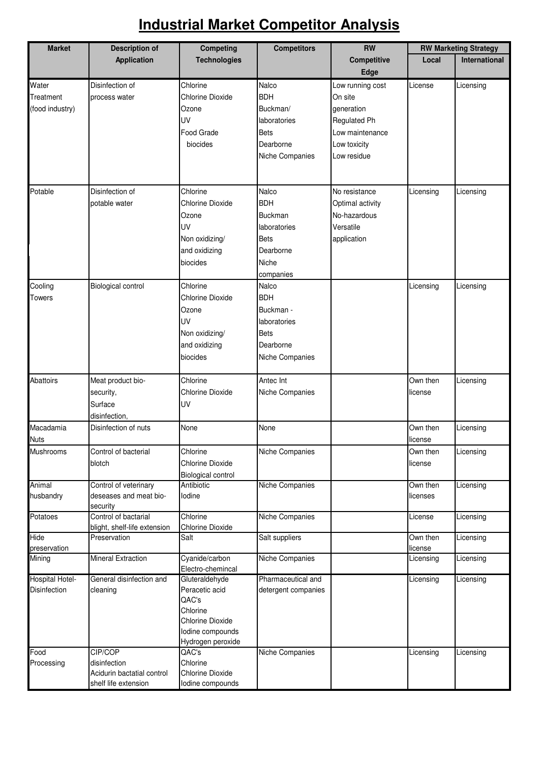#### **Industrial Market Competitor Analysis**

| <b>Market</b>        | <b>Description of</b>                                | <b>Competing</b>                      | <b>Competitors</b>  | <b>RW</b>           | <b>RW Marketing Strategy</b> |                      |  |
|----------------------|------------------------------------------------------|---------------------------------------|---------------------|---------------------|------------------------------|----------------------|--|
|                      | Application                                          | <b>Technologies</b>                   |                     | Competitive<br>Edge | Local                        | <b>International</b> |  |
| Water                | Disinfection of                                      | Chlorine                              | Nalco               | Low running cost    | License                      | Licensing            |  |
| Treatment            | process water                                        | <b>Chlorine Dioxide</b>               | <b>BDH</b>          | On site             |                              |                      |  |
| (food industry)      |                                                      | Ozone                                 | Buckman/            | generation          |                              |                      |  |
|                      |                                                      | UV                                    | laboratories        | <b>Regulated Ph</b> |                              |                      |  |
|                      |                                                      | Food Grade                            | <b>Bets</b>         | Low maintenance     |                              |                      |  |
|                      |                                                      | biocides                              | Dearborne           | Low toxicity        |                              |                      |  |
|                      |                                                      |                                       | Niche Companies     | Low residue         |                              |                      |  |
| Potable              | Disinfection of                                      | Chlorine                              | Nalco               | No resistance       | Licensing                    | Licensing            |  |
|                      | potable water                                        | <b>Chlorine Dioxide</b>               | <b>BDH</b>          | Optimal activity    |                              |                      |  |
|                      |                                                      | Ozone                                 | <b>Buckman</b>      | No-hazardous        |                              |                      |  |
|                      |                                                      | UV                                    | laboratories        | Versatile           |                              |                      |  |
|                      |                                                      | Non oxidizing/                        | <b>Bets</b>         | application         |                              |                      |  |
|                      |                                                      | and oxidizing                         | Dearborne           |                     |                              |                      |  |
|                      |                                                      | biocides                              | Niche               |                     |                              |                      |  |
|                      |                                                      |                                       | companies           |                     |                              |                      |  |
| Cooling              | <b>Biological control</b>                            | Chlorine                              | Nalco               |                     | Licensing                    | Licensing            |  |
| <b>Towers</b>        |                                                      | <b>Chlorine Dioxide</b>               | <b>BDH</b>          |                     |                              |                      |  |
|                      |                                                      | Ozone                                 | Buckman -           |                     |                              |                      |  |
|                      |                                                      | UV                                    | laboratories        |                     |                              |                      |  |
|                      |                                                      | Non oxidizing/                        | Bets                |                     |                              |                      |  |
|                      |                                                      | and oxidizing                         | Dearborne           |                     |                              |                      |  |
|                      |                                                      | biocides                              | Niche Companies     |                     |                              |                      |  |
| Abattoirs            | Meat product bio-                                    | Chlorine                              | Antec Int           |                     | Own then                     | Licensing            |  |
|                      | security,                                            | <b>Chlorine Dioxide</b>               | Niche Companies     |                     | license                      |                      |  |
|                      | Surface                                              | UV                                    |                     |                     |                              |                      |  |
|                      | disinfection,                                        |                                       |                     |                     |                              |                      |  |
| Macadamia            | Disinfection of nuts                                 | None                                  | None                |                     | Own then                     | Licensing            |  |
| <b>Nuts</b>          |                                                      |                                       |                     |                     | license                      |                      |  |
| Mushrooms            | Control of bacterial                                 | Chlorine                              | Niche Companies     |                     | Own then                     | Licensing            |  |
|                      | blotch                                               | <b>Chlorine Dioxide</b>               |                     |                     | license                      |                      |  |
|                      |                                                      | Biological control                    |                     |                     |                              |                      |  |
| Animal               | Control of veterinary                                | Antibiotic                            | Niche Companies     |                     | Own then                     | Licensing            |  |
| husbandry            | deseases and meat bio-<br>security                   | lodine                                |                     |                     | licenses                     |                      |  |
| Potatoes             | Control of bactarial<br>blight, shelf-life extension | Chlorine<br>Chlorine Dioxide          | Niche Companies     |                     | License                      | Licensing            |  |
| Hide<br>preservation | Preservation                                         | Salt                                  | Salt suppliers      |                     | Own then<br>license          | Licensing            |  |
| Mining               | Mineral Extraction                                   | Cyanide/carbon<br>Electro-chemincal   | Niche Companies     |                     | Licensing                    | Licensing            |  |
| Hospital Hotel-      | General disinfection and                             | Gluteraldehyde                        | Pharmaceutical and  |                     | Licensing                    | Licensing            |  |
| Disinfection         | cleaning                                             | Peracetic acid                        | detergent companies |                     |                              |                      |  |
|                      |                                                      | QAC's                                 |                     |                     |                              |                      |  |
|                      |                                                      | Chlorine                              |                     |                     |                              |                      |  |
|                      |                                                      | Chlorine Dioxide                      |                     |                     |                              |                      |  |
|                      |                                                      | lodine compounds<br>Hydrogen peroxide |                     |                     |                              |                      |  |
| Food                 | CIP/COP                                              | QAC's                                 | Niche Companies     |                     | Licensing                    | Licensing            |  |
| Processing           | disinfection                                         | Chlorine                              |                     |                     |                              |                      |  |
|                      | Acidurin bactatial control                           | <b>Chlorine Dioxide</b>               |                     |                     |                              |                      |  |
|                      | shelf life extension                                 | lodine compounds                      |                     |                     |                              |                      |  |